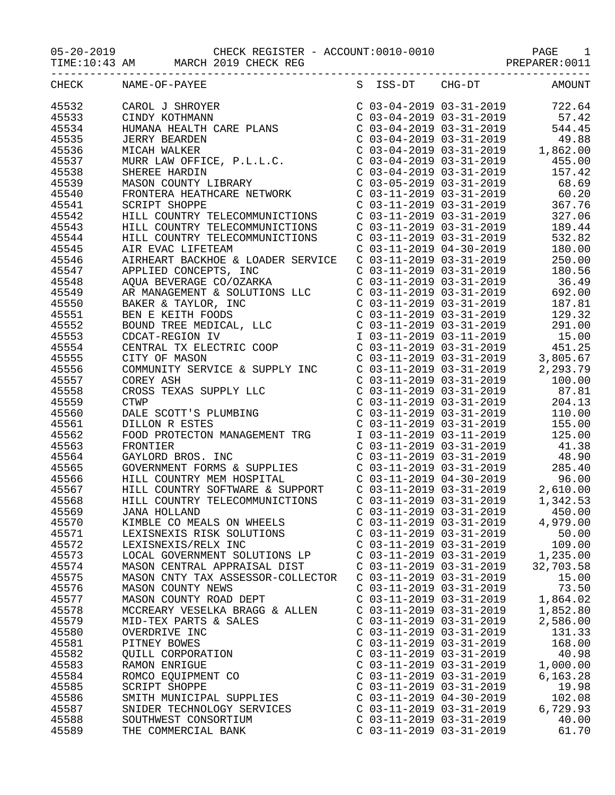TIME:10:43 AM MARCH 2019 CHECK REG STAR STAR PREPARER:0011

| CHECK          | NAME-OF-PAYEE                                                                                                                                                                                                                                                                                                                    |                           | S ISS-DT CHG-DT AMOUNT           |           |
|----------------|----------------------------------------------------------------------------------------------------------------------------------------------------------------------------------------------------------------------------------------------------------------------------------------------------------------------------------|---------------------------|----------------------------------|-----------|
|                |                                                                                                                                                                                                                                                                                                                                  |                           |                                  |           |
|                |                                                                                                                                                                                                                                                                                                                                  |                           |                                  |           |
|                |                                                                                                                                                                                                                                                                                                                                  |                           |                                  |           |
|                |                                                                                                                                                                                                                                                                                                                                  |                           |                                  |           |
|                |                                                                                                                                                                                                                                                                                                                                  |                           |                                  |           |
|                |                                                                                                                                                                                                                                                                                                                                  |                           |                                  |           |
|                |                                                                                                                                                                                                                                                                                                                                  |                           |                                  |           |
|                |                                                                                                                                                                                                                                                                                                                                  |                           |                                  |           |
|                |                                                                                                                                                                                                                                                                                                                                  |                           |                                  |           |
|                |                                                                                                                                                                                                                                                                                                                                  |                           |                                  |           |
|                |                                                                                                                                                                                                                                                                                                                                  |                           |                                  |           |
|                |                                                                                                                                                                                                                                                                                                                                  |                           |                                  |           |
|                |                                                                                                                                                                                                                                                                                                                                  |                           |                                  |           |
|                |                                                                                                                                                                                                                                                                                                                                  |                           |                                  |           |
|                |                                                                                                                                                                                                                                                                                                                                  |                           |                                  |           |
|                |                                                                                                                                                                                                                                                                                                                                  |                           |                                  |           |
|                |                                                                                                                                                                                                                                                                                                                                  |                           |                                  |           |
|                |                                                                                                                                                                                                                                                                                                                                  |                           |                                  |           |
|                |                                                                                                                                                                                                                                                                                                                                  |                           |                                  |           |
|                |                                                                                                                                                                                                                                                                                                                                  |                           |                                  |           |
|                |                                                                                                                                                                                                                                                                                                                                  |                           |                                  |           |
|                |                                                                                                                                                                                                                                                                                                                                  |                           |                                  |           |
|                |                                                                                                                                                                                                                                                                                                                                  |                           |                                  |           |
|                |                                                                                                                                                                                                                                                                                                                                  |                           |                                  |           |
|                |                                                                                                                                                                                                                                                                                                                                  |                           |                                  |           |
|                |                                                                                                                                                                                                                                                                                                                                  |                           |                                  |           |
|                |                                                                                                                                                                                                                                                                                                                                  |                           |                                  |           |
|                |                                                                                                                                                                                                                                                                                                                                  |                           |                                  |           |
|                | $\begin{tabular}{cccc} 45546 & AIREBART BACKROE & C0ADER SERVICE & 0 & 111-2019 & 03-31-2019 & 250.00 \\ 45546 & AIREBART BACKROE S & TAC KIOR & 0 & 03-11-2019 & 03-31-2019 & 180.56 \\ 45549 & AQ0A BEVERAGE CO/OZARKA & 0 & 03-11-2019 & 03-31-2019 & 186.49 \\ 45549 & ARMABGEMENTS & SOUPITIONS LLC & 0 & 03-11-2019 & 03-$ |                           |                                  |           |
|                |                                                                                                                                                                                                                                                                                                                                  |                           |                                  |           |
|                |                                                                                                                                                                                                                                                                                                                                  |                           |                                  |           |
|                |                                                                                                                                                                                                                                                                                                                                  |                           |                                  |           |
|                |                                                                                                                                                                                                                                                                                                                                  |                           |                                  |           |
|                |                                                                                                                                                                                                                                                                                                                                  |                           |                                  |           |
|                |                                                                                                                                                                                                                                                                                                                                  |                           |                                  |           |
|                |                                                                                                                                                                                                                                                                                                                                  |                           |                                  |           |
|                |                                                                                                                                                                                                                                                                                                                                  |                           |                                  |           |
| 45569          | JANA HOLLAND                                                                                                                                                                                                                                                                                                                     |                           | $C$ 03-11-2019 03-31-2019 450.00 |           |
|                | KIMBLE CO MEALS ON WHEELS                                                                                                                                                                                                                                                                                                        |                           | $C$ 03-11-2019 03-31-2019        | 4,979.00  |
| 45570<br>45571 | LEXISNEXIS RISK SOLUTIONS                                                                                                                                                                                                                                                                                                        | $C$ 03-11-2019 03-31-2019 |                                  | 50.00     |
| 45572          | LEXISNEXIS/RELX INC                                                                                                                                                                                                                                                                                                              | C 03-11-2019 03-31-2019   |                                  | 109.00    |
| 45573          | LOCAL GOVERNMENT SOLUTIONS LP                                                                                                                                                                                                                                                                                                    | $C$ 03-11-2019 03-31-2019 |                                  | 1,235.00  |
| 45574          | MASON CENTRAL APPRAISAL DIST                                                                                                                                                                                                                                                                                                     | $C$ 03-11-2019 03-31-2019 |                                  | 32,703.58 |
| 45575          | MASON CNTY TAX ASSESSOR-COLLECTOR                                                                                                                                                                                                                                                                                                | C 03-11-2019 03-31-2019   |                                  | 15.00     |
| 45576          | MASON COUNTY NEWS                                                                                                                                                                                                                                                                                                                | $C$ 03-11-2019 03-31-2019 |                                  | 73.50     |
| 45577          | MASON COUNTY ROAD DEPT                                                                                                                                                                                                                                                                                                           | $C$ 03-11-2019 03-31-2019 |                                  | 1,864.02  |
| 45578          | MCCREARY VESELKA BRAGG & ALLEN                                                                                                                                                                                                                                                                                                   | C 03-11-2019 03-31-2019   |                                  | 1,852.80  |
| 45579          | MID-TEX PARTS & SALES                                                                                                                                                                                                                                                                                                            | $C$ 03-11-2019 03-31-2019 |                                  | 2,586.00  |
| 45580          | OVERDRIVE INC                                                                                                                                                                                                                                                                                                                    | C 03-11-2019 03-31-2019   |                                  | 131.33    |
| 45581          | PITNEY BOWES                                                                                                                                                                                                                                                                                                                     | C 03-11-2019 03-31-2019   |                                  | 168.00    |
| 45582          | QUILL CORPORATION                                                                                                                                                                                                                                                                                                                | $C$ 03-11-2019 03-31-2019 |                                  | 40.98     |
| 45583          | RAMON ENRIGUE                                                                                                                                                                                                                                                                                                                    | $C$ 03-11-2019 03-31-2019 |                                  | 1,000.00  |
| 45584          | ROMCO EQUIPMENT CO                                                                                                                                                                                                                                                                                                               | $C$ 03-11-2019 03-31-2019 |                                  | 6,163.28  |
| 45585          | <b>SCRIPT SHOPPE</b>                                                                                                                                                                                                                                                                                                             | $C$ 03-11-2019 03-31-2019 |                                  | 19.98     |
| 45586          | SMITH MUNICIPAL SUPPLIES                                                                                                                                                                                                                                                                                                         | $C$ 03-11-2019 04-30-2019 |                                  | 102.08    |
| 45587          | SNIDER TECHNOLOGY SERVICES                                                                                                                                                                                                                                                                                                       | $C$ 03-11-2019 03-31-2019 |                                  | 6,729.93  |
| 45588          | SOUTHWEST CONSORTIUM                                                                                                                                                                                                                                                                                                             | C 03-11-2019 03-31-2019   |                                  | 40.00     |
| 45589          | THE COMMERCIAL BANK                                                                                                                                                                                                                                                                                                              | C 03-11-2019 03-31-2019   |                                  | 61.70     |
|                |                                                                                                                                                                                                                                                                                                                                  |                           |                                  |           |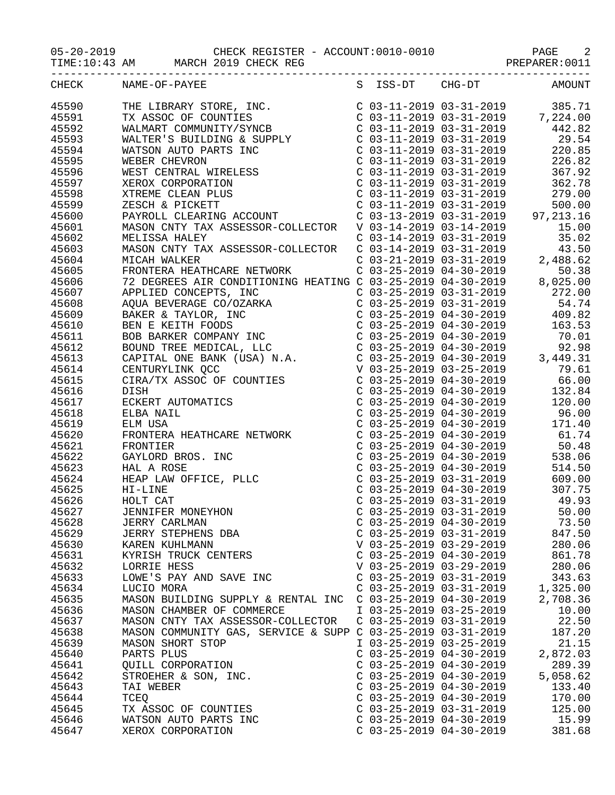TIME:10:43 AM MARCH 2019 CHECK REG STAR STAR PREPARER:0011

|       | CHECK NAME-OF-PAYEE                                                                                                                                                                                                                                                                                                                                     |                           | S ISS-DT CHG-DT AMOUNT    |          |
|-------|---------------------------------------------------------------------------------------------------------------------------------------------------------------------------------------------------------------------------------------------------------------------------------------------------------------------------------------------------------|---------------------------|---------------------------|----------|
| 45590 |                                                                                                                                                                                                                                                                                                                                                         |                           |                           |          |
| 45591 |                                                                                                                                                                                                                                                                                                                                                         |                           |                           |          |
| 45592 |                                                                                                                                                                                                                                                                                                                                                         |                           |                           |          |
|       |                                                                                                                                                                                                                                                                                                                                                         |                           |                           |          |
| 45593 |                                                                                                                                                                                                                                                                                                                                                         |                           |                           |          |
| 45594 |                                                                                                                                                                                                                                                                                                                                                         |                           |                           |          |
| 45595 |                                                                                                                                                                                                                                                                                                                                                         |                           |                           |          |
| 45596 |                                                                                                                                                                                                                                                                                                                                                         |                           |                           |          |
| 45597 |                                                                                                                                                                                                                                                                                                                                                         |                           |                           |          |
| 45598 |                                                                                                                                                                                                                                                                                                                                                         |                           |                           |          |
| 45599 |                                                                                                                                                                                                                                                                                                                                                         |                           |                           |          |
| 45600 |                                                                                                                                                                                                                                                                                                                                                         |                           |                           |          |
| 45601 |                                                                                                                                                                                                                                                                                                                                                         |                           |                           |          |
|       |                                                                                                                                                                                                                                                                                                                                                         |                           |                           |          |
| 45602 |                                                                                                                                                                                                                                                                                                                                                         |                           |                           |          |
| 45603 |                                                                                                                                                                                                                                                                                                                                                         |                           |                           |          |
| 45604 |                                                                                                                                                                                                                                                                                                                                                         |                           |                           |          |
| 45605 |                                                                                                                                                                                                                                                                                                                                                         |                           |                           |          |
| 45606 |                                                                                                                                                                                                                                                                                                                                                         |                           |                           |          |
| 45607 |                                                                                                                                                                                                                                                                                                                                                         |                           |                           |          |
| 45608 |                                                                                                                                                                                                                                                                                                                                                         |                           |                           |          |
| 45609 |                                                                                                                                                                                                                                                                                                                                                         |                           |                           |          |
|       |                                                                                                                                                                                                                                                                                                                                                         |                           |                           |          |
| 45610 |                                                                                                                                                                                                                                                                                                                                                         |                           |                           |          |
| 45611 |                                                                                                                                                                                                                                                                                                                                                         |                           |                           |          |
| 45612 |                                                                                                                                                                                                                                                                                                                                                         |                           |                           |          |
| 45613 |                                                                                                                                                                                                                                                                                                                                                         |                           |                           |          |
| 45614 |                                                                                                                                                                                                                                                                                                                                                         |                           |                           |          |
| 45615 |                                                                                                                                                                                                                                                                                                                                                         |                           |                           |          |
| 45616 |                                                                                                                                                                                                                                                                                                                                                         |                           |                           |          |
| 45617 |                                                                                                                                                                                                                                                                                                                                                         |                           |                           |          |
| 45618 |                                                                                                                                                                                                                                                                                                                                                         |                           |                           |          |
|       |                                                                                                                                                                                                                                                                                                                                                         |                           |                           |          |
| 45619 | $\begin{tabular}{l c c c c} \multicolumn{4}{l}{MICAR H WIRR HER R HERTRORE BETWORK} & $\mathbf{C} \;\; 03-21-2019 \;\; 03-31-2019 \;\; 3-31-2019 \;\; 50.38 \;\; 62 \\ \hline \text{FROWIFAR HERR R GNDITIONING HERTING C} \;\; \text{C} \;\; 03-25-2019 \;\; 04-30-2019 \;\; 50.38 \;\; 62 \\ \text{ADPLED CONCEPTS, INC} \;\; \text{C} \;\; 03-25-20$ |                           |                           |          |
| 45620 |                                                                                                                                                                                                                                                                                                                                                         |                           |                           |          |
| 45621 |                                                                                                                                                                                                                                                                                                                                                         |                           |                           |          |
| 45622 |                                                                                                                                                                                                                                                                                                                                                         |                           |                           |          |
| 45623 |                                                                                                                                                                                                                                                                                                                                                         |                           |                           |          |
| 45624 |                                                                                                                                                                                                                                                                                                                                                         |                           |                           |          |
| 45625 |                                                                                                                                                                                                                                                                                                                                                         |                           |                           |          |
| 45626 | HOLT CAT                                                                                                                                                                                                                                                                                                                                                |                           |                           |          |
| 45627 |                                                                                                                                                                                                                                                                                                                                                         |                           |                           |          |
| 45628 | JERRY CARLMAN                                                                                                                                                                                                                                                                                                                                           | $C$ 03-25-2019 04-30-2019 |                           | 73.50    |
| 45629 | JERRY STEPHENS DBA                                                                                                                                                                                                                                                                                                                                      | $C$ 03-25-2019 03-31-2019 |                           | 847.50   |
| 45630 | KAREN KUHLMANN                                                                                                                                                                                                                                                                                                                                          |                           | V 03-25-2019 03-29-2019   | 280.06   |
|       |                                                                                                                                                                                                                                                                                                                                                         |                           |                           |          |
| 45631 | KYRISH TRUCK CENTERS                                                                                                                                                                                                                                                                                                                                    |                           | $C$ 03-25-2019 04-30-2019 | 861.78   |
| 45632 | LORRIE HESS                                                                                                                                                                                                                                                                                                                                             |                           | V 03-25-2019 03-29-2019   | 280.06   |
| 45633 | LOWE'S PAY AND SAVE INC                                                                                                                                                                                                                                                                                                                                 | $C$ 03-25-2019 03-31-2019 |                           | 343.63   |
| 45634 | LUCIO MORA                                                                                                                                                                                                                                                                                                                                              | $C$ 03-25-2019 03-31-2019 |                           | 1,325.00 |
| 45635 | MASON BUILDING SUPPLY & RENTAL INC                                                                                                                                                                                                                                                                                                                      | $C$ 03-25-2019 04-30-2019 |                           | 2,708.36 |
| 45636 | MASON CHAMBER OF COMMERCE                                                                                                                                                                                                                                                                                                                               | I 03-25-2019 03-25-2019   |                           | 10.00    |
| 45637 | MASON CNTY TAX ASSESSOR-COLLECTOR                                                                                                                                                                                                                                                                                                                       | $C$ 03-25-2019 03-31-2019 |                           | 22.50    |
| 45638 | MASON COMMUNITY GAS, SERVICE & SUPP C 03-25-2019 03-31-2019                                                                                                                                                                                                                                                                                             |                           |                           | 187.20   |
| 45639 | MASON SHORT STOP                                                                                                                                                                                                                                                                                                                                        | I 03-25-2019 03-25-2019   |                           | 21.15    |
| 45640 | PARTS PLUS                                                                                                                                                                                                                                                                                                                                              | $C$ 03-25-2019 04-30-2019 |                           | 2,872.03 |
|       |                                                                                                                                                                                                                                                                                                                                                         |                           |                           |          |
| 45641 | QUILL CORPORATION                                                                                                                                                                                                                                                                                                                                       | $C$ 03-25-2019 04-30-2019 |                           | 289.39   |
| 45642 | STROEHER & SON, INC.                                                                                                                                                                                                                                                                                                                                    | $C$ 03-25-2019 04-30-2019 |                           | 5,058.62 |
| 45643 | TAI WEBER                                                                                                                                                                                                                                                                                                                                               | $C$ 03-25-2019 04-30-2019 |                           | 133.40   |
| 45644 | TCEQ                                                                                                                                                                                                                                                                                                                                                    | $C$ 03-25-2019 04-30-2019 |                           | 170.00   |
| 45645 | TX ASSOC OF COUNTIES                                                                                                                                                                                                                                                                                                                                    | $C$ 03-25-2019 03-31-2019 |                           | 125.00   |
| 45646 | WATSON AUTO PARTS INC                                                                                                                                                                                                                                                                                                                                   | $C$ 03-25-2019 04-30-2019 |                           | 15.99    |
| 45647 | XEROX CORPORATION                                                                                                                                                                                                                                                                                                                                       | $C$ 03-25-2019 04-30-2019 |                           | 381.68   |
|       |                                                                                                                                                                                                                                                                                                                                                         |                           |                           |          |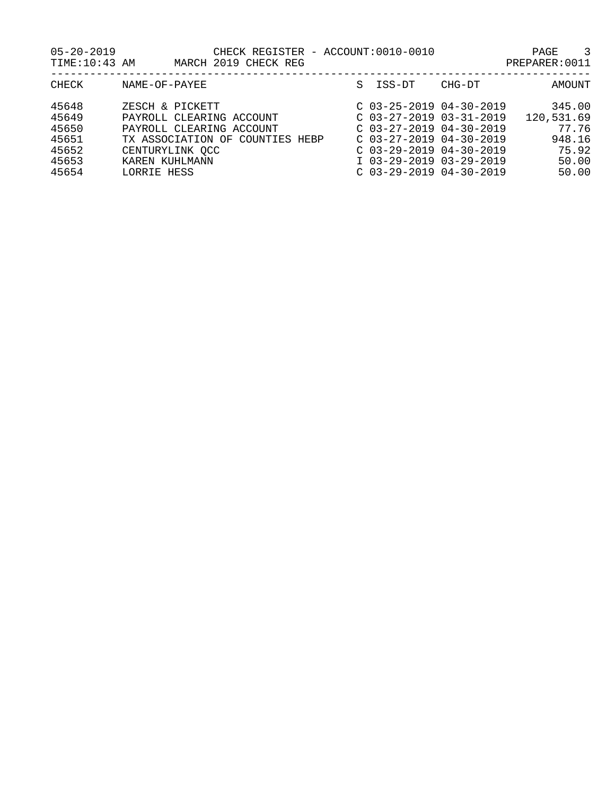| $05 - 20 - 2019$<br>TIME: 10:43 AM                          |                                                                                          | CHECK REGISTER - ACCOUNT:0010-0010<br>MARCH 2019 CHECK REG            |   |        |                                                                                                                                                                                                       | PAGE<br>3<br>PREPARER: 0011                                        |
|-------------------------------------------------------------|------------------------------------------------------------------------------------------|-----------------------------------------------------------------------|---|--------|-------------------------------------------------------------------------------------------------------------------------------------------------------------------------------------------------------|--------------------------------------------------------------------|
| CHECK                                                       | NAME-OF-PAYEE                                                                            |                                                                       | S | ISS-DT | CHG-DT                                                                                                                                                                                                | AMOUNT                                                             |
| 45648<br>45649<br>45650<br>45651<br>45652<br>45653<br>45654 | ZESCH & PICKETT<br>TX ASSOCIATION OF<br>CENTURYLINK OCC<br>KAREN KUHLMANN<br>LORRIE HESS | PAYROLL CLEARING ACCOUNT<br>PAYROLL CLEARING ACCOUNT<br>COUNTIES HEBP |   |        | $C$ 03-25-2019 04-30-2019<br>$C$ 03-27-2019 03-31-2019<br>$C$ 03-27-2019 04-30-2019<br>$C$ 03-27-2019 04-30-2019<br>$C$ 03-29-2019 04-30-2019<br>I 03-29-2019 03-29-2019<br>$C$ 03-29-2019 04-30-2019 | 345.00<br>120,531.69<br>77.76<br>948.16<br>75.92<br>50.00<br>50.00 |